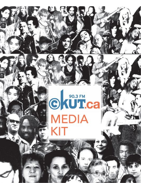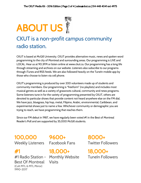

### CKUT is a non-profit campus community radio station.

CKUT is based at McGill University. CKUT provides alternative music, news and spoken word programming to the city of Montreal and surrounding areas. Our programming is LIVE and LOCAL. Hear us at 90.3FM or listen online at www.ckut.ca. Our programming has a long life through streaming and archives on our website. Listeners also subscribe to our programs through iTunes and RSS feeds. We are also followed heavily on the TuneIn mobile app by those who choose to listen via cell phone.

CKUT's programming is produced by over 200 volunteers made up of students and community members. Our programming is "freeform" (no playlists) and includes most musical genres as well as a variety of grassroots cultural, community and news programs. Some listeners tune in for the variety of programming presented by CKUT, others are devoted to particular shows that provide content not heard anywhere else on the FM dial. We have jazz, bluegrass, hip hop, metal, Filipino, Arabic, environmental, Caribbean, and experimental shows just to name a few. Whichever community or demographic you are trying to reach, we have programming that reaches them.

Since our FM debut in 1987, we have regularly been voted #1 in the Best of Montreal Reader's Poll and are supported by 35,000 McGill students.

100,000 Weekly Listeners Facebook Fans

#1

#1 Radio Station - Best Of Montreal (Cult MTL & MTL Mirror) 1990-2017

9600+

18,000+ Monthly Website Visits

8000+ Twitter Followers

18,000+ TuneIn Followers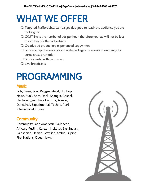## WHAT WE OFFER

- ❏ Targeted & affordable: campaigns designed to reach the audience you are looking for
- ❏ CKUT limits the number of ads per hour, therefore your ad will not be lost in a clutter of other advertising
- ❏ Creative ad production, experienced copywriters
- ❏ Sponsorship of events: sliding scale packages for events in exchange for some cross promotion
- ❏ Studio rental with technician
- ❏ Live broadcasts

### PROGRAMMING

#### **Music**

Folk, Blues, Soul, Reggae, Metal, Hip Hop, Noise, Funk, Soca, Rock, Bhangra, Gospel, Electronic, Jazz, Pop, Country, Kompa, Dancehall, Experimental, Techno, Punk, International, House

### **Community**

Community Latin American, Caribbean, African, Muslim, Korean, Inuktitut, East Indian, Palestinian, Haitian, Brazilian, Arabic, Filipino, First Nations, Queer, Jewish